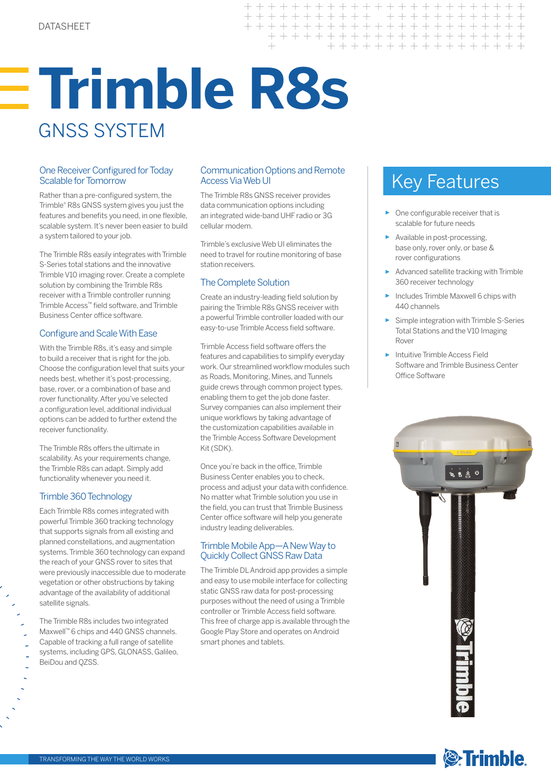# **Trimble R8s**  GNSS SYSTEM

## Scalable for Tomorrow

Rather than a pre‑configured system, the Trimble® R8s GNSS system gives you just the features and benefits you need, in one flexible, scalable system. It's never been easier to build a system tailored to your job.

The Trimble R8s easily integrates with Trimble S-Series total stations and the innovative Trimble V10 imaging rover. Create a complete solution by combining the Trimble R8s receiver with a Trimble controller running Trimble Access™ field software, and Trimble Business Center office software.

## Configure and Scale With Ease

With the Trimble R8s, it's easy and simple to build a receiver that is right for the job. Choose the configuration level that suits your needs best, whether it's post-processing, base, rover, or a combination of base and rover functionality. After you've selected a configuration level, additional individual options can be added to further extend the receiver functionality.

The Trimble R8s offers the ultimate in scalability. As your requirements change, the Trimble R8s can adapt. Simply add functionality whenever you need it.

#### Trimble 360 Technology

Each Trimble R8s comes integrated with powerful Trimble 360 tracking technology that supports signals from all existing and planned constellations, and augmentation systems. Trimble 360 technology can expand the reach of your GNSS rover to sites that were previously inaccessible due to moderate vegetation or other obstructions by taking advantage of the availability of additional satellite signals.

The Trimble R8s includes two integrated Maxwell™ 6 chips and 440 GNSS channels. Capable of tracking a full range of satellite systems, including GPS, GLONASS, Galileo, BeiDou and QZSS.

#### One Receiver Configured for Today Communication Options and Remote<br>Scalable for Tomorrow Access Via Web UI Key Features Communication Options and Remote Access Via Web UI

 $++$ 

 $\perp$ 

 $\ddot{}$  $+$ 

The Trimble R8s GNSS receiver provides data communication options including an integrated wide-band UHF radio or 3G cellular modem.

Trimble's exclusive Web UI eliminates the need to travel for routine monitoring of base station receivers.

## The Complete Solution

Create an industry-leading field solution by pairing the Trimble R8s GNSS receiver with a powerful Trimble controller loaded with our easy-to-use Trimble Access field software.

Trimble Access field software offers the features and capabilities to simplify everyday work. Our streamlined workflow modules such as Roads, Monitoring, Mines, and Tunnels guide crews through common project types, enabling them to get the job done faster. Survey companies can also implement their unique workflows by taking advantage of the customization capabilities available in the Trimble Access Software Development Kit(SDK).

Once you're back in the office, Trimble Business Center enables you to check, process and adjust your data with confidence. No matter what Trimble solution you use in the field, you can trust that Trimble Business Center office software will help you generate industry leading deliverables.

## Trimble Mobile App—A New Way to Quickly Collect GNSS Raw Data

The Trimble DL Android app provides a simple and easy to use mobile interface for collecting static GNSS raw data for post-processing purposes without the need of using a Trimble controller or Trimble Access field software. This free of charge app is available through the Google Play Store and operates on Android smart phones and tablets.

+ + + + + + + + + + + + + + + + + + + +

+ + + + + + + + + + + + + + + +

+ + + + + + + + + + + + +

- ► One configurable receiver that is scalable for future needs
- ► Available in post-processing, base only, rover only, or base & rover configurations
- ► Advanced satellite tracking with Trimble 360 receiver technology
- ► Includes Trimble Maxwell 6 chips with 440 channels
- ► Simple integration with Trimble S-Series Total Stations and the V10 Imaging Rover
- ► Intuitive Trimble Access Field Software and Trimble Business Center Office Software